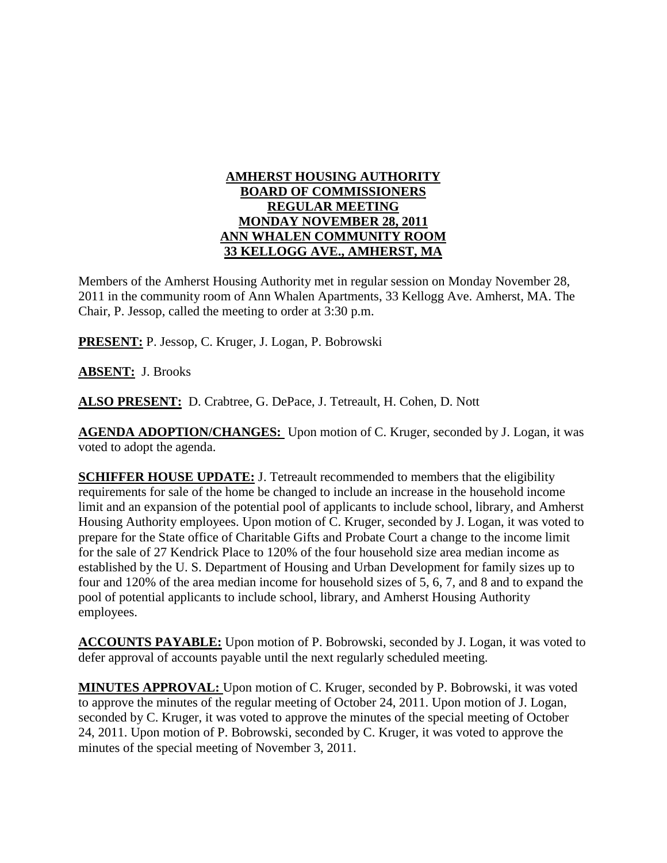#### **AMHERST HOUSING AUTHORITY BOARD OF COMMISSIONERS REGULAR MEETING MONDAY NOVEMBER 28, 2011 ANN WHALEN COMMUNITY ROOM 33 KELLOGG AVE., AMHERST, MA**

Members of the Amherst Housing Authority met in regular session on Monday November 28, 2011 in the community room of Ann Whalen Apartments, 33 Kellogg Ave. Amherst, MA. The Chair, P. Jessop, called the meeting to order at 3:30 p.m.

**PRESENT:** P. Jessop, C. Kruger, J. Logan, P. Bobrowski

**ABSENT:** J. Brooks

**ALSO PRESENT:** D. Crabtree, G. DePace, J. Tetreault, H. Cohen, D. Nott

**AGENDA ADOPTION/CHANGES:** Upon motion of C. Kruger, seconded by J. Logan, it was voted to adopt the agenda.

**SCHIFFER HOUSE UPDATE:** J. Tetreault recommended to members that the eligibility requirements for sale of the home be changed to include an increase in the household income limit and an expansion of the potential pool of applicants to include school, library, and Amherst Housing Authority employees. Upon motion of C. Kruger, seconded by J. Logan, it was voted to prepare for the State office of Charitable Gifts and Probate Court a change to the income limit for the sale of 27 Kendrick Place to 120% of the four household size area median income as established by the U. S. Department of Housing and Urban Development for family sizes up to four and 120% of the area median income for household sizes of 5, 6, 7, and 8 and to expand the pool of potential applicants to include school, library, and Amherst Housing Authority employees.

**ACCOUNTS PAYABLE:** Upon motion of P. Bobrowski, seconded by J. Logan, it was voted to defer approval of accounts payable until the next regularly scheduled meeting.

**MINUTES APPROVAL:** Upon motion of C. Kruger, seconded by P. Bobrowski, it was voted to approve the minutes of the regular meeting of October 24, 2011. Upon motion of J. Logan, seconded by C. Kruger, it was voted to approve the minutes of the special meeting of October 24, 2011. Upon motion of P. Bobrowski, seconded by C. Kruger, it was voted to approve the minutes of the special meeting of November 3, 2011.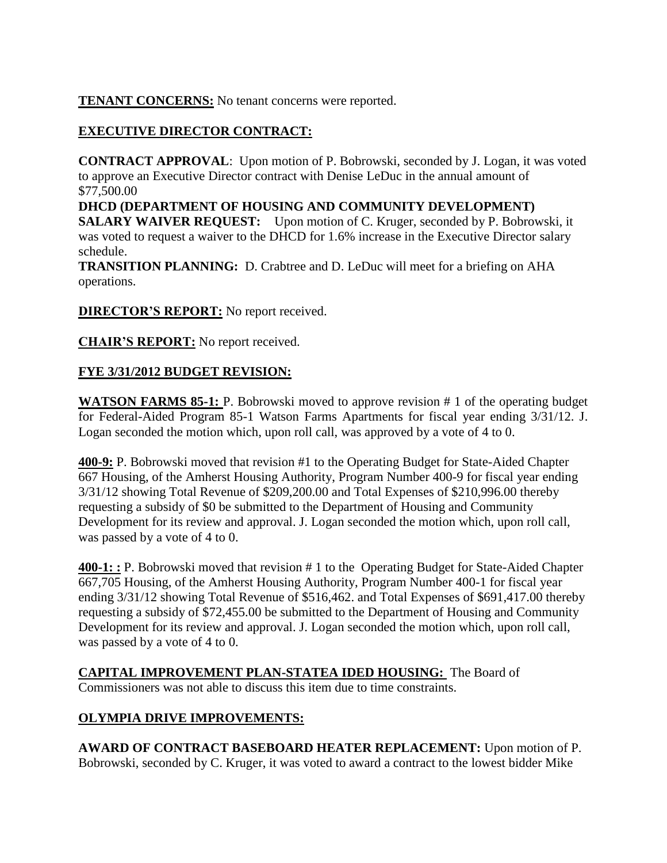### **TENANT CONCERNS:** No tenant concerns were reported.

# **EXECUTIVE DIRECTOR CONTRACT:**

**CONTRACT APPROVAL**: Upon motion of P. Bobrowski, seconded by J. Logan, it was voted to approve an Executive Director contract with Denise LeDuc in the annual amount of \$77,500.00

**DHCD (DEPARTMENT OF HOUSING AND COMMUNITY DEVELOPMENT) SALARY WAIVER REQUEST:** Upon motion of C. Kruger, seconded by P. Bobrowski, it was voted to request a waiver to the DHCD for 1.6% increase in the Executive Director salary schedule.

**TRANSITION PLANNING:** D. Crabtree and D. LeDuc will meet for a briefing on AHA operations.

**DIRECTOR'S REPORT:** No report received.

**CHAIR'S REPORT:** No report received.

## **FYE 3/31/2012 BUDGET REVISION:**

WATSON FARMS 85-1: P. Bobrowski moved to approve revision # 1 of the operating budget for Federal-Aided Program 85-1 Watson Farms Apartments for fiscal year ending 3/31/12. J. Logan seconded the motion which, upon roll call, was approved by a vote of 4 to 0.

**400-9:** P. Bobrowski moved that revision #1 to the Operating Budget for State-Aided Chapter 667 Housing, of the Amherst Housing Authority, Program Number 400-9 for fiscal year ending 3/31/12 showing Total Revenue of \$209,200.00 and Total Expenses of \$210,996.00 thereby requesting a subsidy of \$0 be submitted to the Department of Housing and Community Development for its review and approval. J. Logan seconded the motion which, upon roll call, was passed by a vote of 4 to 0.

**400-1: :** P. Bobrowski moved that revision # 1 to the Operating Budget for State-Aided Chapter 667,705 Housing, of the Amherst Housing Authority, Program Number 400-1 for fiscal year ending 3/31/12 showing Total Revenue of \$516,462. and Total Expenses of \$691,417.00 thereby requesting a subsidy of \$72,455.00 be submitted to the Department of Housing and Community Development for its review and approval. J. Logan seconded the motion which, upon roll call, was passed by a vote of 4 to 0.

**CAPITAL IMPROVEMENT PLAN-STATEA IDED HOUSING:** The Board of Commissioners was not able to discuss this item due to time constraints.

## **OLYMPIA DRIVE IMPROVEMENTS:**

**AWARD OF CONTRACT BASEBOARD HEATER REPLACEMENT:** Upon motion of P. Bobrowski, seconded by C. Kruger, it was voted to award a contract to the lowest bidder Mike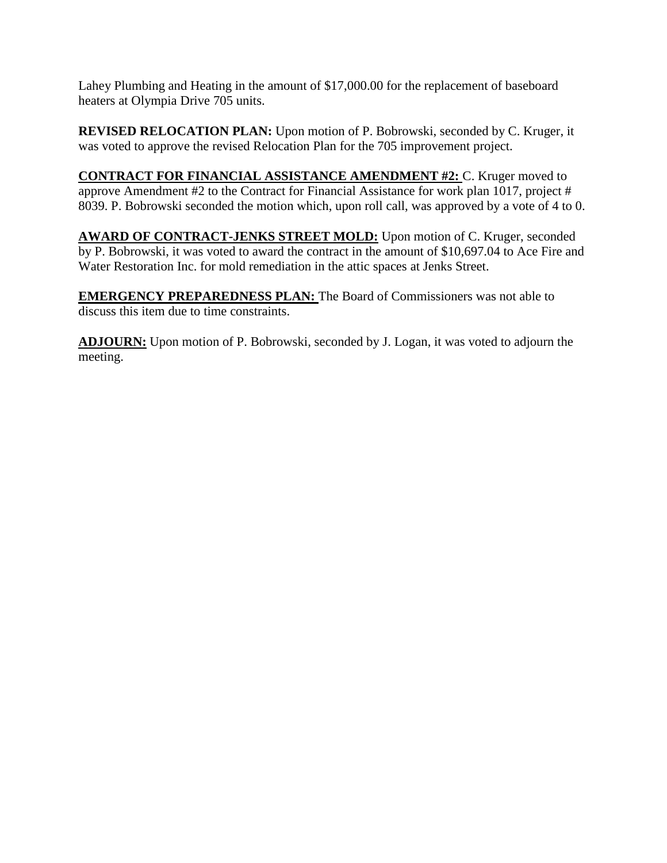Lahey Plumbing and Heating in the amount of \$17,000.00 for the replacement of baseboard heaters at Olympia Drive 705 units.

**REVISED RELOCATION PLAN:** Upon motion of P. Bobrowski, seconded by C. Kruger, it was voted to approve the revised Relocation Plan for the 705 improvement project.

**CONTRACT FOR FINANCIAL ASSISTANCE AMENDMENT #2:** C. Kruger moved to approve Amendment #2 to the Contract for Financial Assistance for work plan 1017, project # 8039. P. Bobrowski seconded the motion which, upon roll call, was approved by a vote of 4 to 0.

**AWARD OF CONTRACT-JENKS STREET MOLD:** Upon motion of C. Kruger, seconded by P. Bobrowski, it was voted to award the contract in the amount of \$10,697.04 to Ace Fire and Water Restoration Inc. for mold remediation in the attic spaces at Jenks Street.

**EMERGENCY PREPAREDNESS PLAN:** The Board of Commissioners was not able to discuss this item due to time constraints.

**ADJOURN:** Upon motion of P. Bobrowski, seconded by J. Logan, it was voted to adjourn the meeting.